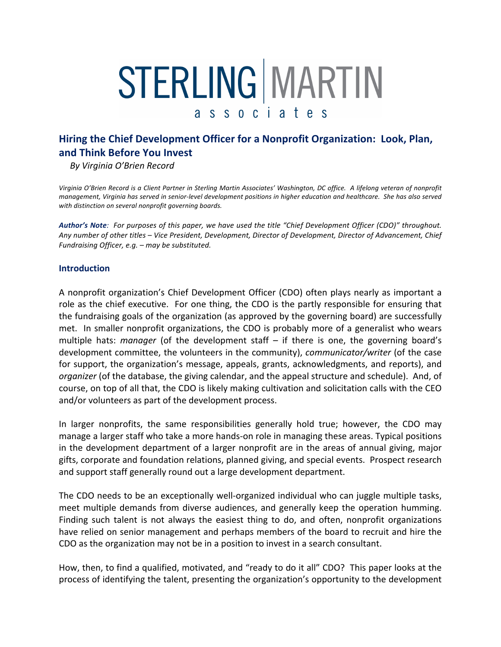# STERLING MARTIN s s o c i a t e s  $\mathsf{a}$

# **Hiring the Chief Development Officer for a Nonprofit Organization: Look, Plan, and!Think!Before!You!Invest**

By Virginia O'Brien Record

Virginia O'Brien Record is a Client Partner in Sterling Martin Associates' Washington, DC office. A lifelong veteran of nonprofit management, Virginia has served in senior-level development positions in higher education and healthcare. She has also served with distinction on several nonprofit governing boards.

Author's Note: For purposes of this paper, we have used the title "Chief Development Officer (CDO)" throughout. Any number of other titles – Vice President, Development, Director of Development, Director of Advancement, Chief *Fundraising Officer, e.g. – may be substituted.* 

#### **Introduction**

A nonprofit organization's Chief Development Officer (CDO) often plays nearly as important a role as the chief executive. For one thing, the CDO is the partly responsible for ensuring that the fundraising goals of the organization (as approved by the governing board) are successfully met. In smaller nonprofit organizations, the CDO is probably more of a generalist who wears multiple hats: *manager* (of the development staff – if there is one, the governing board's development committee, the volunteers in the community), *communicator/writer* (of the case for support, the organization's message, appeals, grants, acknowledgments, and reports), and *organizer* (of the database, the giving calendar, and the appeal structure and schedule). And, of course, on top of all that, the CDO is likely making cultivation and solicitation calls with the CEO and/or volunteers as part of the development process.

In larger nonprofits, the same responsibilities generally hold true; however, the CDO may manage a larger staff who take a more hands-on role in managing these areas. Typical positions in the development department of a larger nonprofit are in the areas of annual giving, major gifts, corporate and foundation relations, planned giving, and special events. Prospect research and support staff generally round out a large development department.

The CDO needs to be an exceptionally well-organized individual who can juggle multiple tasks, meet multiple demands from diverse audiences, and generally keep the operation humming. Finding such talent is not always the easiest thing to do, and often, nonprofit organizations have relied on senior management and perhaps members of the board to recruit and hire the CDO as the organization may not be in a position to invest in a search consultant.

How, then, to find a qualified, motivated, and "ready to do it all" CDO? This paper looks at the process of identifying the talent, presenting the organization's opportunity to the development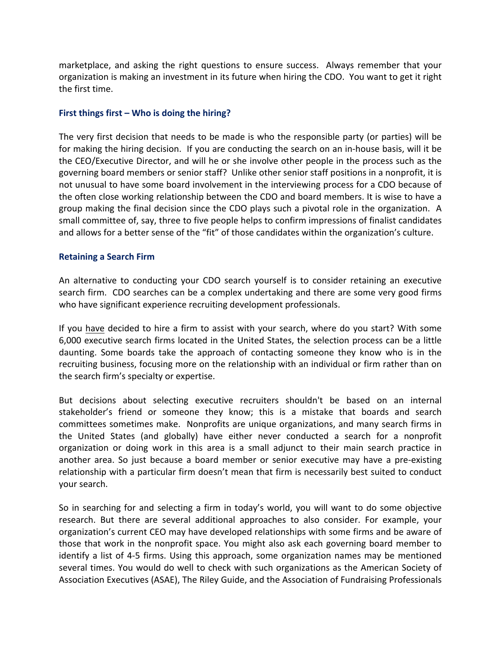marketplace, and asking the right questions to ensure success. Always remember that your organization is making an investment in its future when hiring the CDO. You want to get it right the first time.

#### **First things first – Who is doing the hiring?**

The very first decision that needs to be made is who the responsible party (or parties) will be for making the hiring decision. If you are conducting the search on an in-house basis, will it be the CEO/Executive Director, and will he or she involve other people in the process such as the governing board members or senior staff? Unlike other senior staff positions in a nonprofit, it is not unusual to have some board involvement in the interviewing process for a CDO because of the often close working relationship between the CDO and board members. It is wise to have a group making the final decision since the CDO plays such a pivotal role in the organization. A small committee of, say, three to five people helps to confirm impressions of finalist candidates and allows for a better sense of the "fit" of those candidates within the organization's culture.

#### **Retaining a Search Firm**

An alternative to conducting your CDO search yourself is to consider retaining an executive search firm. CDO searches can be a complex undertaking and there are some very good firms who have significant experience recruiting development professionals.

If you have decided to hire a firm to assist with your search, where do you start? With some 6,000 executive search firms located in the United States, the selection process can be a little daunting. Some boards take the approach of contacting someone they know who is in the recruiting business, focusing more on the relationship with an individual or firm rather than on the search firm's specialty or expertise.

But decisions about selecting executive recruiters shouldn't be based on an internal stakeholder's friend or someone they know; this is a mistake that boards and search committees sometimes make. Nonprofits are unique organizations, and many search firms in the United States (and globally) have either never conducted a search for a nonprofit organization or doing work in this area is a small adjunct to their main search practice in another area. So just because a board member or senior executive may have a pre-existing relationship with a particular firm doesn't mean that firm is necessarily best suited to conduct your search.

So in searching for and selecting a firm in today's world, you will want to do some objective research. But there are several additional approaches to also consider. For example, your organization's current CEO may have developed relationships with some firms and be aware of those that work in the nonprofit space. You might also ask each governing board member to identify a list of 4-5 firms. Using this approach, some organization names may be mentioned several times. You would do well to check with such organizations as the American Society of Association Executives (ASAE), The Riley Guide, and the Association of Fundraising Professionals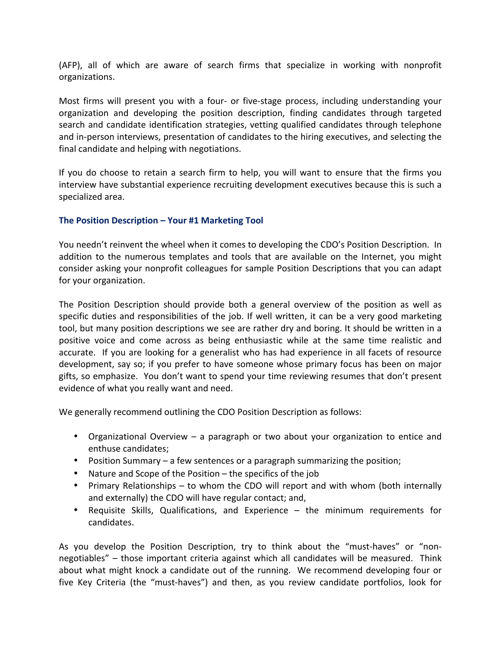(AFP), all of which are aware of search firms that specialize in working with nonprofit organizations.

Most firms will present you with a four- or five-stage process, including understanding your organization and developing the position description, finding candidates through targeted search and candidate identification strategies, vetting qualified candidates through telephone and in-person interviews, presentation of candidates to the hiring executives, and selecting the final candidate and helping with negotiations.

If you do choose to retain a search firm to help, you will want to ensure that the firms you interview have substantial experience recruiting development executives because this is such a specialized area.

# **The Position Description – Your #1 Marketing Tool**

You needn't reinvent the wheel when it comes to developing the CDO's Position Description. In addition to the numerous templates and tools that are available on the Internet, you might consider asking your nonprofit colleagues for sample Position Descriptions that you can adapt for your organization.

The Position Description should provide both a general overview of the position as well as specific duties and responsibilities of the job. If well written, it can be a very good marketing tool, but many position descriptions we see are rather dry and boring. It should be written in a positive voice and come across as being enthusiastic while at the same time realistic and accurate. If you are looking for a generalist who has had experience in all facets of resource development, say so; if you prefer to have someone whose primary focus has been on major gifts, so emphasize. You don't want to spend your time reviewing resumes that don't present evidence of what you really want and need.

We generally recommend outlining the CDO Position Description as follows:

- Organizational Overview a paragraph or two about your organization to entice and enthuse candidates;
- Position Summary a few sentences or a paragraph summarizing the position;
- Nature and Scope of the Position  $-$  the specifics of the job
- Primary Relationships to whom the CDO will report and with whom (both internally and externally) the CDO will have regular contact; and,
- Requisite Skills, Qualifications, and Experience the minimum requirements for candidates.

As you develop the Position Description, try to think about the "must-haves" or "nonnegotiables" – those important criteria against which all candidates will be measured. Think about what might knock a candidate out of the running. We recommend developing four or five Key Criteria (the "must-haves") and then, as you review candidate portfolios, look for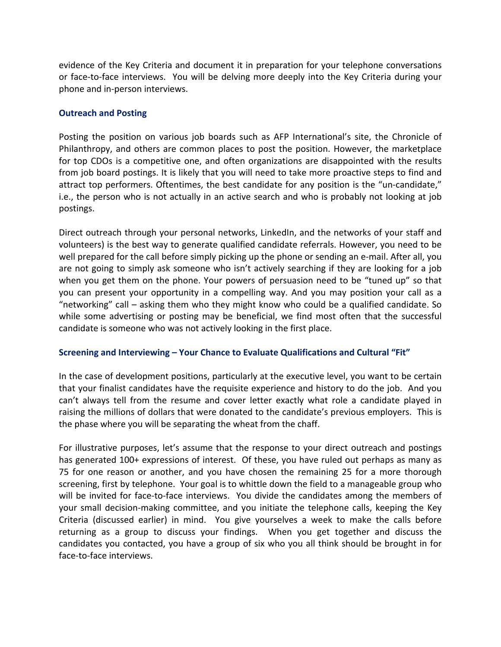evidence of the Key Criteria and document it in preparation for your telephone conversations or face-to-face interviews. You will be delving more deeply into the Key Criteria during your phone and in-person interviews.

#### **Outreach and Posting**

Posting the position on various job boards such as AFP International's site, the Chronicle of Philanthropy, and others are common places to post the position. However, the marketplace for top CDOs is a competitive one, and often organizations are disappointed with the results from job board postings. It is likely that you will need to take more proactive steps to find and attract top performers. Oftentimes, the best candidate for any position is the "un-candidate," i.e., the person who is not actually in an active search and who is probably not looking at job postings.

Direct outreach through your personal networks, LinkedIn, and the networks of your staff and volunteers) is the best way to generate qualified candidate referrals. However, you need to be well prepared for the call before simply picking up the phone or sending an e-mail. After all, you are not going to simply ask someone who isn't actively searching if they are looking for a job when you get them on the phone. Your powers of persuasion need to be "tuned up" so that you can present your opportunity in a compelling way. And you may position your call as a "networking" call – asking them who they might know who could be a qualified candidate. So while some advertising or posting may be beneficial, we find most often that the successful candidate is someone who was not actively looking in the first place.

# **Screening and Interviewing – Your Chance to Evaluate Qualifications and Cultural "Fit"**

In the case of development positions, particularly at the executive level, you want to be certain that your finalist candidates have the requisite experience and history to do the job. And you can't always tell from the resume and cover letter exactly what role a candidate played in raising the millions of dollars that were donated to the candidate's previous employers. This is the phase where you will be separating the wheat from the chaff.

For illustrative purposes, let's assume that the response to your direct outreach and postings has generated 100+ expressions of interest. Of these, you have ruled out perhaps as many as 75 for one reason or another, and you have chosen the remaining 25 for a more thorough screening, first by telephone. Your goal is to whittle down the field to a manageable group who will be invited for face-to-face interviews. You divide the candidates among the members of your small decision-making committee, and you initiate the telephone calls, keeping the Key Criteria (discussed earlier) in mind. You give yourselves a week to make the calls before returning as a group to discuss your findings. When you get together and discuss the candidates you contacted, you have a group of six who you all think should be brought in for face-to-face interviews.